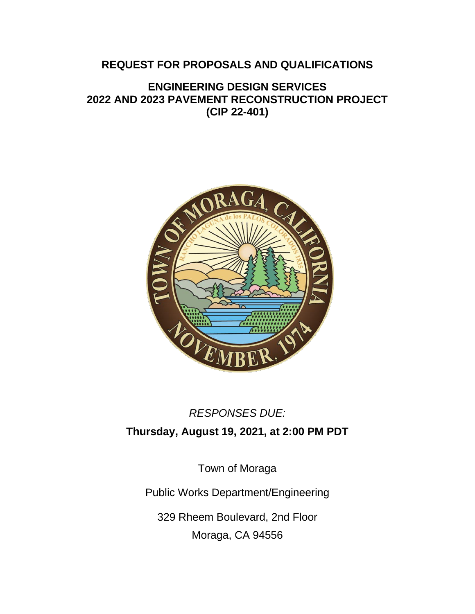## **REQUEST FOR PROPOSALS AND QUALIFICATIONS**

## **ENGINEERING DESIGN SERVICES 2022 AND 2023 PAVEMENT RECONSTRUCTION PROJECT (CIP 22-401)**



### *RESPONSES DUE:*

## **Thursday, August 19, 2021, at 2:00 PM PDT**

Town of Moraga

Public Works Department/Engineering

329 Rheem Boulevard, 2nd Floor Moraga, CA 94556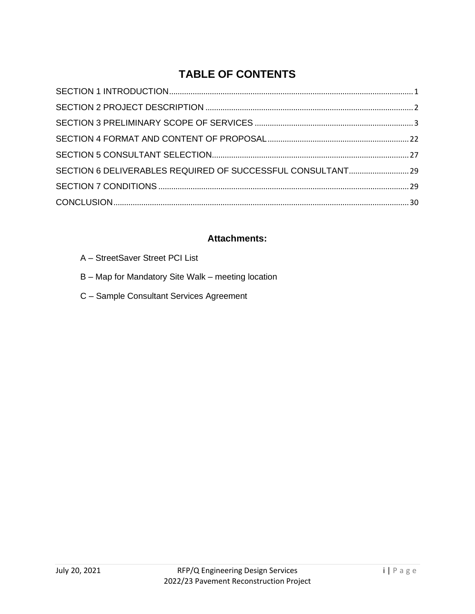# **TABLE OF CONTENTS**

### **Attachments:**

- A StreetSaver Street PCI List
- B Map for Mandatory Site Walk meeting location
- C Sample Consultant Services Agreement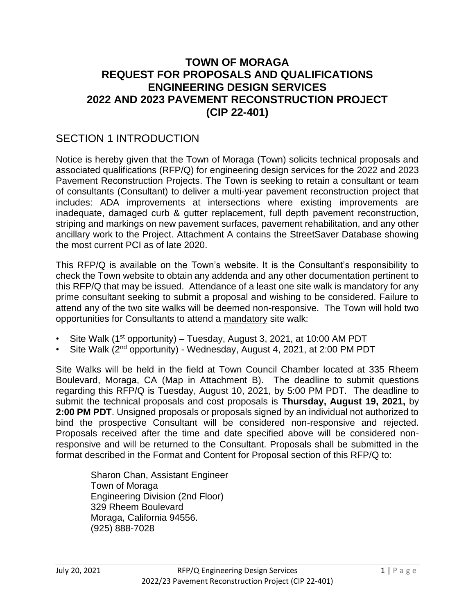## **TOWN OF MORAGA REQUEST FOR PROPOSALS AND QUALIFICATIONS ENGINEERING DESIGN SERVICES 2022 AND 2023 PAVEMENT RECONSTRUCTION PROJECT (CIP 22-401)**

## <span id="page-2-0"></span>SECTION 1 INTRODUCTION

Notice is hereby given that the Town of Moraga (Town) solicits technical proposals and associated qualifications (RFP/Q) for engineering design services for the 2022 and 2023 Pavement Reconstruction Projects. The Town is seeking to retain a consultant or team of consultants (Consultant) to deliver a multi-year pavement reconstruction project that includes: ADA improvements at intersections where existing improvements are inadequate, damaged curb & gutter replacement, full depth pavement reconstruction, striping and markings on new pavement surfaces, pavement rehabilitation, and any other ancillary work to the Project. Attachment A contains the StreetSaver Database showing the most current PCI as of late 2020.

This RFP/Q is available on the Town's website. It is the Consultant's responsibility to check the Town website to obtain any addenda and any other documentation pertinent to this RFP/Q that may be issued. Attendance of a least one site walk is mandatory for any prime consultant seeking to submit a proposal and wishing to be considered. Failure to attend any of the two site walks will be deemed non-responsive. The Town will hold two opportunities for Consultants to attend a mandatory site walk:

- Site Walk (1<sup>st</sup> opportunity) Tuesday, August 3, 2021, at 10:00 AM PDT
- Site Walk (2<sup>nd</sup> opportunity) Wednesday, August 4, 2021, at 2:00 PM PDT

Site Walks will be held in the field at Town Council Chamber located at 335 Rheem Boulevard, Moraga, CA (Map in Attachment B). The deadline to submit questions regarding this RFP/Q is Tuesday, August 10, 2021, by 5:00 PM PDT. The deadline to submit the technical proposals and cost proposals is **Thursday, August 19, 2021,** by **2:00 PM PDT**. Unsigned proposals or proposals signed by an individual not authorized to bind the prospective Consultant will be considered non-responsive and rejected. Proposals received after the time and date specified above will be considered nonresponsive and will be returned to the Consultant. Proposals shall be submitted in the format described in the Format and Content for Proposal section of this RFP/Q to:

Sharon Chan, Assistant Engineer Town of Moraga Engineering Division (2nd Floor) 329 Rheem Boulevard Moraga, California 94556. (925) 888-7028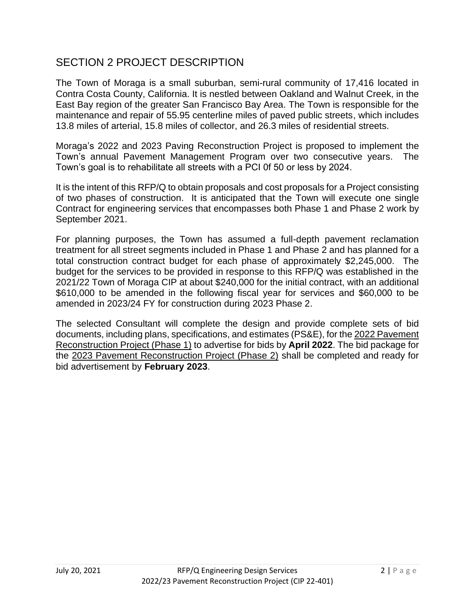## <span id="page-3-0"></span>SECTION 2 PROJECT DESCRIPTION

The Town of Moraga is a small suburban, semi-rural community of 17,416 located in Contra Costa County, California. It is nestled between Oakland and Walnut Creek, in the East Bay region of the greater San Francisco Bay Area. The Town is responsible for the maintenance and repair of 55.95 centerline miles of paved public streets, which includes 13.8 miles of arterial, 15.8 miles of collector, and 26.3 miles of residential streets.

Moraga's 2022 and 2023 Paving Reconstruction Project is proposed to implement the Town's annual Pavement Management Program over two consecutive years. The Town's goal is to rehabilitate all streets with a PCI 0f 50 or less by 2024.

It is the intent of this RFP/Q to obtain proposals and cost proposals for a Project consisting of two phases of construction. It is anticipated that the Town will execute one single Contract for engineering services that encompasses both Phase 1 and Phase 2 work by September 2021.

For planning purposes, the Town has assumed a full-depth pavement reclamation treatment for all street segments included in Phase 1 and Phase 2 and has planned for a total construction contract budget for each phase of approximately \$2,245,000. The budget for the services to be provided in response to this RFP/Q was established in the 2021/22 Town of Moraga CIP at about \$240,000 for the initial contract, with an additional \$610,000 to be amended in the following fiscal year for services and \$60,000 to be amended in 2023/24 FY for construction during 2023 Phase 2.

The selected Consultant will complete the design and provide complete sets of bid documents, including plans, specifications, and estimates (PS&E), for the 2022 Pavement Reconstruction Project (Phase 1) to advertise for bids by **April 2022**. The bid package for the 2023 Pavement Reconstruction Project (Phase 2) shall be completed and ready for bid advertisement by **February 2023**.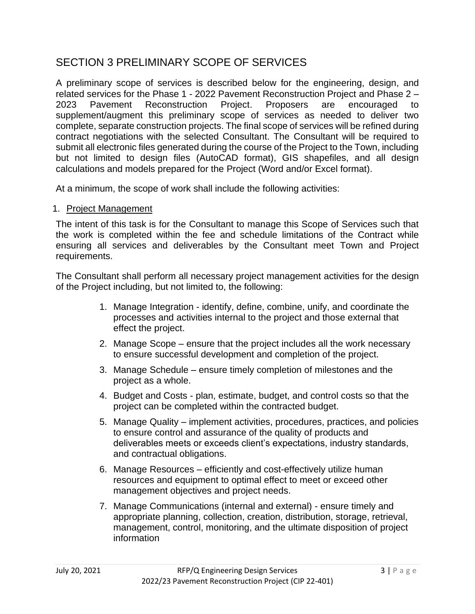## <span id="page-4-0"></span>SECTION 3 PRELIMINARY SCOPE OF SERVICES

A preliminary scope of services is described below for the engineering, design, and related services for the Phase 1 - 2022 Pavement Reconstruction Project and Phase 2 – 2023 Pavement Reconstruction Project. Proposers are encouraged to supplement/augment this preliminary scope of services as needed to deliver two complete, separate construction projects. The final scope of services will be refined during contract negotiations with the selected Consultant. The Consultant will be required to submit all electronic files generated during the course of the Project to the Town, including but not limited to design files (AutoCAD format), GIS shapefiles, and all design calculations and models prepared for the Project (Word and/or Excel format).

At a minimum, the scope of work shall include the following activities:

#### 1. Project Management

The intent of this task is for the Consultant to manage this Scope of Services such that the work is completed within the fee and schedule limitations of the Contract while ensuring all services and deliverables by the Consultant meet Town and Project requirements.

The Consultant shall perform all necessary project management activities for the design of the Project including, but not limited to, the following:

- 1. Manage Integration identify, define, combine, unify, and coordinate the processes and activities internal to the project and those external that effect the project.
- 2. Manage Scope ensure that the project includes all the work necessary to ensure successful development and completion of the project.
- 3. Manage Schedule ensure timely completion of milestones and the project as a whole.
- 4. Budget and Costs plan, estimate, budget, and control costs so that the project can be completed within the contracted budget.
- 5. Manage Quality implement activities, procedures, practices, and policies to ensure control and assurance of the quality of products and deliverables meets or exceeds client's expectations, industry standards, and contractual obligations.
- 6. Manage Resources efficiently and cost-effectively utilize human resources and equipment to optimal effect to meet or exceed other management objectives and project needs.
- 7. Manage Communications (internal and external) ensure timely and appropriate planning, collection, creation, distribution, storage, retrieval, management, control, monitoring, and the ultimate disposition of project information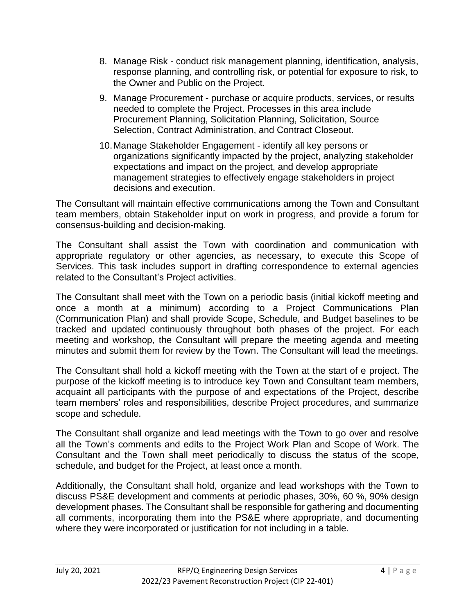- 8. Manage Risk conduct risk management planning, identification, analysis, response planning, and controlling risk, or potential for exposure to risk, to the Owner and Public on the Project.
- 9. Manage Procurement purchase or acquire products, services, or results needed to complete the Project. Processes in this area include Procurement Planning, Solicitation Planning, Solicitation, Source Selection, Contract Administration, and Contract Closeout.
- 10.Manage Stakeholder Engagement identify all key persons or organizations significantly impacted by the project, analyzing stakeholder expectations and impact on the project, and develop appropriate management strategies to effectively engage stakeholders in project decisions and execution.

The Consultant will maintain effective communications among the Town and Consultant team members, obtain Stakeholder input on work in progress, and provide a forum for consensus-building and decision-making.

The Consultant shall assist the Town with coordination and communication with appropriate regulatory or other agencies, as necessary, to execute this Scope of Services. This task includes support in drafting correspondence to external agencies related to the Consultant's Project activities.

The Consultant shall meet with the Town on a periodic basis (initial kickoff meeting and once a month at a minimum) according to a Project Communications Plan (Communication Plan) and shall provide Scope, Schedule, and Budget baselines to be tracked and updated continuously throughout both phases of the project. For each meeting and workshop, the Consultant will prepare the meeting agenda and meeting minutes and submit them for review by the Town. The Consultant will lead the meetings.

The Consultant shall hold a kickoff meeting with the Town at the start of e project. The purpose of the kickoff meeting is to introduce key Town and Consultant team members, acquaint all participants with the purpose of and expectations of the Project, describe team members' roles and responsibilities, describe Project procedures, and summarize scope and schedule.

The Consultant shall organize and lead meetings with the Town to go over and resolve all the Town's comments and edits to the Project Work Plan and Scope of Work. The Consultant and the Town shall meet periodically to discuss the status of the scope, schedule, and budget for the Project, at least once a month.

Additionally, the Consultant shall hold, organize and lead workshops with the Town to discuss PS&E development and comments at periodic phases, 30%, 60 %, 90% design development phases. The Consultant shall be responsible for gathering and documenting all comments, incorporating them into the PS&E where appropriate, and documenting where they were incorporated or justification for not including in a table.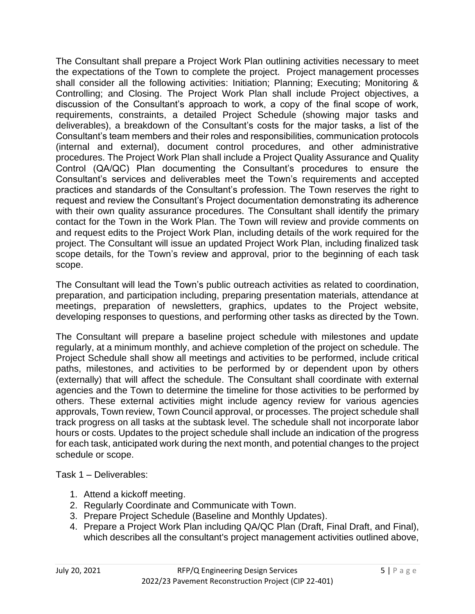The Consultant shall prepare a Project Work Plan outlining activities necessary to meet the expectations of the Town to complete the project. Project management processes shall consider all the following activities: Initiation; Planning; Executing; Monitoring & Controlling; and Closing. The Project Work Plan shall include Project objectives, a discussion of the Consultant's approach to work, a copy of the final scope of work, requirements, constraints, a detailed Project Schedule (showing major tasks and deliverables), a breakdown of the Consultant's costs for the major tasks, a list of the Consultant's team members and their roles and responsibilities, communication protocols (internal and external), document control procedures, and other administrative procedures. The Project Work Plan shall include a Project Quality Assurance and Quality Control (QA/QC) Plan documenting the Consultant's procedures to ensure the Consultant's services and deliverables meet the Town's requirements and accepted practices and standards of the Consultant's profession. The Town reserves the right to request and review the Consultant's Project documentation demonstrating its adherence with their own quality assurance procedures. The Consultant shall identify the primary contact for the Town in the Work Plan. The Town will review and provide comments on and request edits to the Project Work Plan, including details of the work required for the project. The Consultant will issue an updated Project Work Plan, including finalized task scope details, for the Town's review and approval, prior to the beginning of each task scope.

The Consultant will lead the Town's public outreach activities as related to coordination, preparation, and participation including, preparing presentation materials, attendance at meetings, preparation of newsletters, graphics, updates to the Project website, developing responses to questions, and performing other tasks as directed by the Town.

The Consultant will prepare a baseline project schedule with milestones and update regularly, at a minimum monthly, and achieve completion of the project on schedule. The Project Schedule shall show all meetings and activities to be performed, include critical paths, milestones, and activities to be performed by or dependent upon by others (externally) that will affect the schedule. The Consultant shall coordinate with external agencies and the Town to determine the timeline for those activities to be performed by others. These external activities might include agency review for various agencies approvals, Town review, Town Council approval, or processes. The project schedule shall track progress on all tasks at the subtask level. The schedule shall not incorporate labor hours or costs. Updates to the project schedule shall include an indication of the progress for each task, anticipated work during the next month, and potential changes to the project schedule or scope.

Task 1 – Deliverables:

- 1. Attend a kickoff meeting.
- 2. Regularly Coordinate and Communicate with Town.
- 3. Prepare Project Schedule (Baseline and Monthly Updates).
- 4. Prepare a Project Work Plan including QA/QC Plan (Draft, Final Draft, and Final), which describes all the consultant's project management activities outlined above,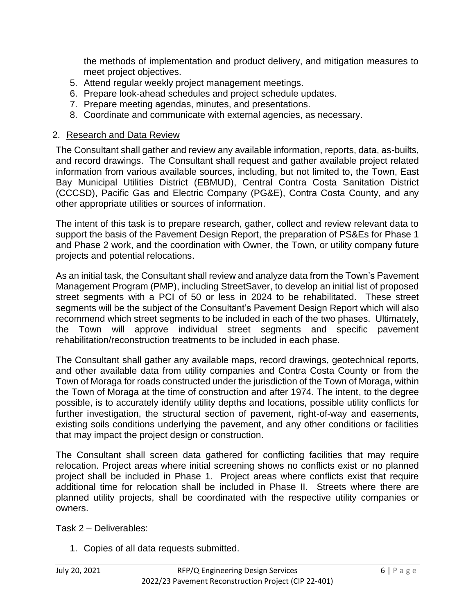the methods of implementation and product delivery, and mitigation measures to meet project objectives.

- 5. Attend regular weekly project management meetings.
- 6. Prepare look-ahead schedules and project schedule updates.
- 7. Prepare meeting agendas, minutes, and presentations.
- 8. Coordinate and communicate with external agencies, as necessary.

#### 2. Research and Data Review

The Consultant shall gather and review any available information, reports, data, as-builts, and record drawings. The Consultant shall request and gather available project related information from various available sources, including, but not limited to, the Town, East Bay Municipal Utilities District (EBMUD), Central Contra Costa Sanitation District (CCCSD), Pacific Gas and Electric Company (PG&E), Contra Costa County, and any other appropriate utilities or sources of information.

The intent of this task is to prepare research, gather, collect and review relevant data to support the basis of the Pavement Design Report, the preparation of PS&Es for Phase 1 and Phase 2 work, and the coordination with Owner, the Town, or utility company future projects and potential relocations.

As an initial task, the Consultant shall review and analyze data from the Town's Pavement Management Program (PMP), including StreetSaver, to develop an initial list of proposed street segments with a PCI of 50 or less in 2024 to be rehabilitated. These street segments will be the subject of the Consultant's Pavement Design Report which will also recommend which street segments to be included in each of the two phases. Ultimately, the Town will approve individual street segments and specific pavement rehabilitation/reconstruction treatments to be included in each phase.

The Consultant shall gather any available maps, record drawings, geotechnical reports, and other available data from utility companies and Contra Costa County or from the Town of Moraga for roads constructed under the jurisdiction of the Town of Moraga, within the Town of Moraga at the time of construction and after 1974. The intent, to the degree possible, is to accurately identify utility depths and locations, possible utility conflicts for further investigation, the structural section of pavement, right-of-way and easements, existing soils conditions underlying the pavement, and any other conditions or facilities that may impact the project design or construction.

The Consultant shall screen data gathered for conflicting facilities that may require relocation. Project areas where initial screening shows no conflicts exist or no planned project shall be included in Phase 1. Project areas where conflicts exist that require additional time for relocation shall be included in Phase II. Streets where there are planned utility projects, shall be coordinated with the respective utility companies or owners.

Task 2 – Deliverables:

1. Copies of all data requests submitted.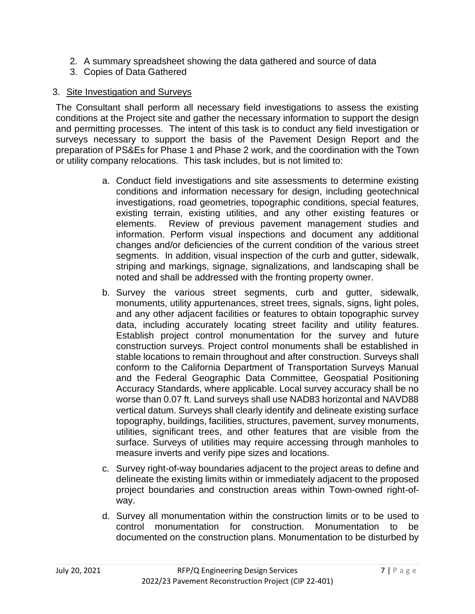- 2. A summary spreadsheet showing the data gathered and source of data
- 3. Copies of Data Gathered

#### 3. Site Investigation and Surveys

The Consultant shall perform all necessary field investigations to assess the existing conditions at the Project site and gather the necessary information to support the design and permitting processes. The intent of this task is to conduct any field investigation or surveys necessary to support the basis of the Pavement Design Report and the preparation of PS&Es for Phase 1 and Phase 2 work, and the coordination with the Town or utility company relocations. This task includes, but is not limited to:

- a. Conduct field investigations and site assessments to determine existing conditions and information necessary for design, including geotechnical investigations, road geometries, topographic conditions, special features, existing terrain, existing utilities, and any other existing features or elements. Review of previous pavement management studies and information. Perform visual inspections and document any additional changes and/or deficiencies of the current condition of the various street segments. In addition, visual inspection of the curb and gutter, sidewalk, striping and markings, signage, signalizations, and landscaping shall be noted and shall be addressed with the fronting property owner.
- b. Survey the various street segments, curb and gutter, sidewalk, monuments, utility appurtenances, street trees, signals, signs, light poles, and any other adjacent facilities or features to obtain topographic survey data, including accurately locating street facility and utility features. Establish project control monumentation for the survey and future construction surveys. Project control monuments shall be established in stable locations to remain throughout and after construction. Surveys shall conform to the California Department of Transportation Surveys Manual and the Federal Geographic Data Committee, Geospatial Positioning Accuracy Standards, where applicable. Local survey accuracy shall be no worse than 0.07 ft. Land surveys shall use NAD83 horizontal and NAVD88 vertical datum. Surveys shall clearly identify and delineate existing surface topography, buildings, facilities, structures, pavement, survey monuments, utilities, significant trees, and other features that are visible from the surface. Surveys of utilities may require accessing through manholes to measure inverts and verify pipe sizes and locations.
- c. Survey right-of-way boundaries adjacent to the project areas to define and delineate the existing limits within or immediately adjacent to the proposed project boundaries and construction areas within Town-owned right-ofway.
- d. Survey all monumentation within the construction limits or to be used to control monumentation for construction. Monumentation to be documented on the construction plans. Monumentation to be disturbed by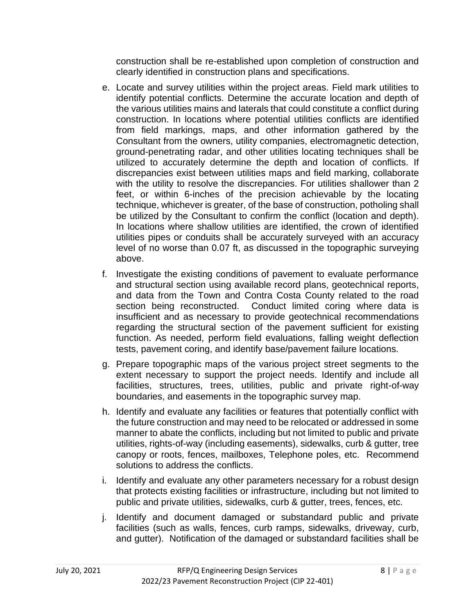construction shall be re-established upon completion of construction and clearly identified in construction plans and specifications.

- e. Locate and survey utilities within the project areas. Field mark utilities to identify potential conflicts. Determine the accurate location and depth of the various utilities mains and laterals that could constitute a conflict during construction. In locations where potential utilities conflicts are identified from field markings, maps, and other information gathered by the Consultant from the owners, utility companies, electromagnetic detection, ground-penetrating radar, and other utilities locating techniques shall be utilized to accurately determine the depth and location of conflicts. If discrepancies exist between utilities maps and field marking, collaborate with the utility to resolve the discrepancies. For utilities shallower than 2 feet, or within 6-inches of the precision achievable by the locating technique, whichever is greater, of the base of construction, potholing shall be utilized by the Consultant to confirm the conflict (location and depth). In locations where shallow utilities are identified, the crown of identified utilities pipes or conduits shall be accurately surveyed with an accuracy level of no worse than 0.07 ft, as discussed in the topographic surveying above.
- f. Investigate the existing conditions of pavement to evaluate performance and structural section using available record plans, geotechnical reports, and data from the Town and Contra Costa County related to the road section being reconstructed. Conduct limited coring where data is insufficient and as necessary to provide geotechnical recommendations regarding the structural section of the pavement sufficient for existing function. As needed, perform field evaluations, falling weight deflection tests, pavement coring, and identify base/pavement failure locations.
- g. Prepare topographic maps of the various project street segments to the extent necessary to support the project needs. Identify and include all facilities, structures, trees, utilities, public and private right-of-way boundaries, and easements in the topographic survey map.
- h. Identify and evaluate any facilities or features that potentially conflict with the future construction and may need to be relocated or addressed in some manner to abate the conflicts, including but not limited to public and private utilities, rights-of-way (including easements), sidewalks, curb & gutter, tree canopy or roots, fences, mailboxes, Telephone poles, etc. Recommend solutions to address the conflicts.
- i. Identify and evaluate any other parameters necessary for a robust design that protects existing facilities or infrastructure, including but not limited to public and private utilities, sidewalks, curb & gutter, trees, fences, etc.
- j. Identify and document damaged or substandard public and private facilities (such as walls, fences, curb ramps, sidewalks, driveway, curb, and gutter). Notification of the damaged or substandard facilities shall be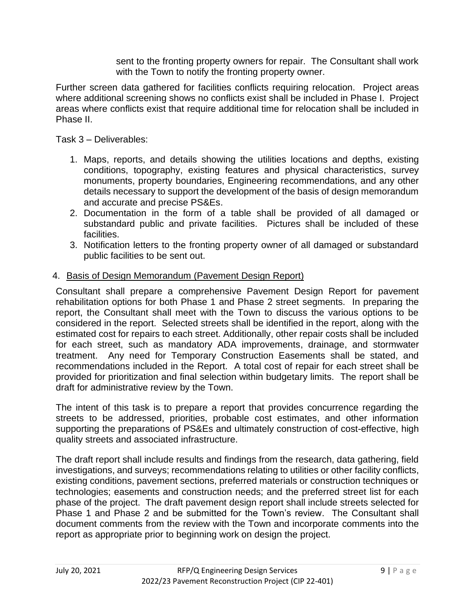sent to the fronting property owners for repair. The Consultant shall work with the Town to notify the fronting property owner.

Further screen data gathered for facilities conflicts requiring relocation. Project areas where additional screening shows no conflicts exist shall be included in Phase I. Project areas where conflicts exist that require additional time for relocation shall be included in Phase II.

Task 3 – Deliverables:

- 1. Maps, reports, and details showing the utilities locations and depths, existing conditions, topography, existing features and physical characteristics, survey monuments, property boundaries, Engineering recommendations, and any other details necessary to support the development of the basis of design memorandum and accurate and precise PS&Es.
- 2. Documentation in the form of a table shall be provided of all damaged or substandard public and private facilities. Pictures shall be included of these facilities.
- 3. Notification letters to the fronting property owner of all damaged or substandard public facilities to be sent out.

#### 4. Basis of Design Memorandum (Pavement Design Report)

Consultant shall prepare a comprehensive Pavement Design Report for pavement rehabilitation options for both Phase 1 and Phase 2 street segments. In preparing the report, the Consultant shall meet with the Town to discuss the various options to be considered in the report. Selected streets shall be identified in the report, along with the estimated cost for repairs to each street. Additionally, other repair costs shall be included for each street, such as mandatory ADA improvements, drainage, and stormwater treatment. Any need for Temporary Construction Easements shall be stated, and recommendations included in the Report. A total cost of repair for each street shall be provided for prioritization and final selection within budgetary limits. The report shall be draft for administrative review by the Town.

The intent of this task is to prepare a report that provides concurrence regarding the streets to be addressed, priorities, probable cost estimates, and other information supporting the preparations of PS&Es and ultimately construction of cost-effective, high quality streets and associated infrastructure.

The draft report shall include results and findings from the research, data gathering, field investigations, and surveys; recommendations relating to utilities or other facility conflicts, existing conditions, pavement sections, preferred materials or construction techniques or technologies; easements and construction needs; and the preferred street list for each phase of the project. The draft pavement design report shall include streets selected for Phase 1 and Phase 2 and be submitted for the Town's review. The Consultant shall document comments from the review with the Town and incorporate comments into the report as appropriate prior to beginning work on design the project.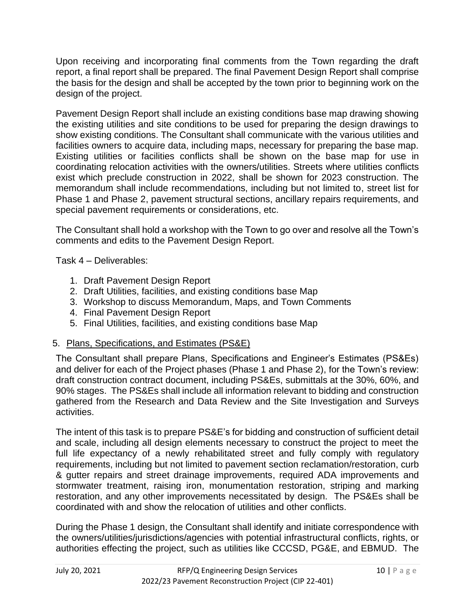Upon receiving and incorporating final comments from the Town regarding the draft report, a final report shall be prepared. The final Pavement Design Report shall comprise the basis for the design and shall be accepted by the town prior to beginning work on the design of the project.

Pavement Design Report shall include an existing conditions base map drawing showing the existing utilities and site conditions to be used for preparing the design drawings to show existing conditions. The Consultant shall communicate with the various utilities and facilities owners to acquire data, including maps, necessary for preparing the base map. Existing utilities or facilities conflicts shall be shown on the base map for use in coordinating relocation activities with the owners/utilities. Streets where utilities conflicts exist which preclude construction in 2022, shall be shown for 2023 construction. The memorandum shall include recommendations, including but not limited to, street list for Phase 1 and Phase 2, pavement structural sections, ancillary repairs requirements, and special pavement requirements or considerations, etc.

The Consultant shall hold a workshop with the Town to go over and resolve all the Town's comments and edits to the Pavement Design Report.

Task 4 – Deliverables:

- 1. Draft Pavement Design Report
- 2. Draft Utilities, facilities, and existing conditions base Map
- 3. Workshop to discuss Memorandum, Maps, and Town Comments
- 4. Final Pavement Design Report
- 5. Final Utilities, facilities, and existing conditions base Map

### 5. Plans, Specifications, and Estimates (PS&E)

The Consultant shall prepare Plans, Specifications and Engineer's Estimates (PS&Es) and deliver for each of the Project phases (Phase 1 and Phase 2), for the Town's review: draft construction contract document, including PS&Es, submittals at the 30%, 60%, and 90% stages. The PS&Es shall include all information relevant to bidding and construction gathered from the Research and Data Review and the Site Investigation and Surveys activities.

The intent of this task is to prepare PS&E's for bidding and construction of sufficient detail and scale, including all design elements necessary to construct the project to meet the full life expectancy of a newly rehabilitated street and fully comply with regulatory requirements, including but not limited to pavement section reclamation/restoration, curb & gutter repairs and street drainage improvements, required ADA improvements and stormwater treatment, raising iron, monumentation restoration, striping and marking restoration, and any other improvements necessitated by design. The PS&Es shall be coordinated with and show the relocation of utilities and other conflicts.

During the Phase 1 design, the Consultant shall identify and initiate correspondence with the owners/utilities/jurisdictions/agencies with potential infrastructural conflicts, rights, or authorities effecting the project, such as utilities like CCCSD, PG&E, and EBMUD. The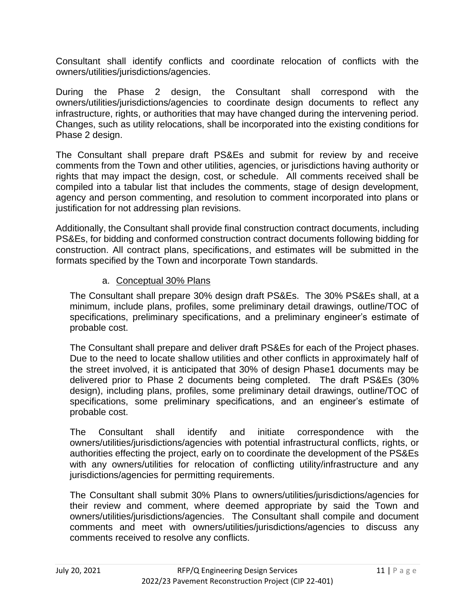Consultant shall identify conflicts and coordinate relocation of conflicts with the owners/utilities/jurisdictions/agencies.

During the Phase 2 design, the Consultant shall correspond with the owners/utilities/jurisdictions/agencies to coordinate design documents to reflect any infrastructure, rights, or authorities that may have changed during the intervening period. Changes, such as utility relocations, shall be incorporated into the existing conditions for Phase 2 design.

The Consultant shall prepare draft PS&Es and submit for review by and receive comments from the Town and other utilities, agencies, or jurisdictions having authority or rights that may impact the design, cost, or schedule. All comments received shall be compiled into a tabular list that includes the comments, stage of design development, agency and person commenting, and resolution to comment incorporated into plans or justification for not addressing plan revisions.

Additionally, the Consultant shall provide final construction contract documents, including PS&Es, for bidding and conformed construction contract documents following bidding for construction. All contract plans, specifications, and estimates will be submitted in the formats specified by the Town and incorporate Town standards.

### a. Conceptual 30% Plans

The Consultant shall prepare 30% design draft PS&Es. The 30% PS&Es shall, at a minimum, include plans, profiles, some preliminary detail drawings, outline/TOC of specifications, preliminary specifications, and a preliminary engineer's estimate of probable cost.

The Consultant shall prepare and deliver draft PS&Es for each of the Project phases. Due to the need to locate shallow utilities and other conflicts in approximately half of the street involved, it is anticipated that 30% of design Phase1 documents may be delivered prior to Phase 2 documents being completed. The draft PS&Es (30% design), including plans, profiles, some preliminary detail drawings, outline/TOC of specifications, some preliminary specifications, and an engineer's estimate of probable cost.

The Consultant shall identify and initiate correspondence with the owners/utilities/jurisdictions/agencies with potential infrastructural conflicts, rights, or authorities effecting the project, early on to coordinate the development of the PS&Es with any owners/utilities for relocation of conflicting utility/infrastructure and any jurisdictions/agencies for permitting requirements.

The Consultant shall submit 30% Plans to owners/utilities/jurisdictions/agencies for their review and comment, where deemed appropriate by said the Town and owners/utilities/jurisdictions/agencies. The Consultant shall compile and document comments and meet with owners/utilities/jurisdictions/agencies to discuss any comments received to resolve any conflicts.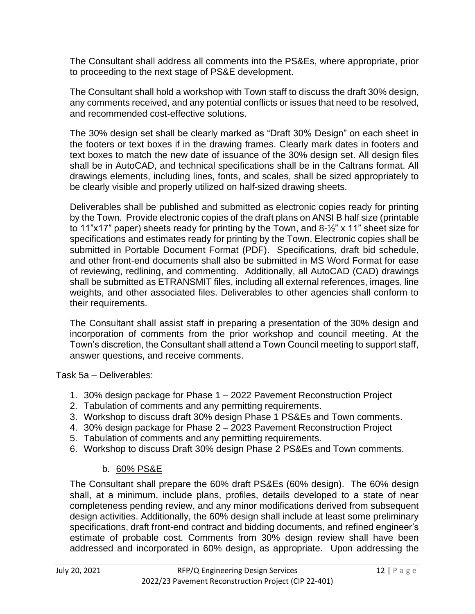The Consultant shall address all comments into the PS&Es, where appropriate, prior to proceeding to the next stage of PS&E development.

The Consultant shall hold a workshop with Town staff to discuss the draft 30% design, any comments received, and any potential conflicts or issues that need to be resolved, and recommended cost-effective solutions.

The 30% design set shall be clearly marked as "Draft 30% Design" on each sheet in the footers or text boxes if in the drawing frames. Clearly mark dates in footers and text boxes to match the new date of issuance of the 30% design set. All design files shall be in AutoCAD, and technical specifications shall be in the Caltrans format. All drawings elements, including lines, fonts, and scales, shall be sized appropriately to be clearly visible and properly utilized on half-sized drawing sheets.

Deliverables shall be published and submitted as electronic copies ready for printing by the Town. Provide electronic copies of the draft plans on ANSI B half size (printable to 11"x17" paper) sheets ready for printing by the Town, and 8-½" x 11" sheet size for specifications and estimates ready for printing by the Town. Electronic copies shall be submitted in Portable Document Format (PDF). Specifications, draft bid schedule, and other front-end documents shall also be submitted in MS Word Format for ease of reviewing, redlining, and commenting. Additionally, all AutoCAD (CAD) drawings shall be submitted as ETRANSMIT files, including all external references, images, line weights, and other associated files. Deliverables to other agencies shall conform to their requirements.

The Consultant shall assist staff in preparing a presentation of the 30% design and incorporation of comments from the prior workshop and council meeting. At the Town's discretion, the Consultant shall attend a Town Council meeting to support staff, answer questions, and receive comments.

Task 5a – Deliverables:

- 1. 30% design package for Phase 1 2022 Pavement Reconstruction Project
- 2. Tabulation of comments and any permitting requirements.
- 3. Workshop to discuss draft 30% design Phase 1 PS&Es and Town comments.
- 4. 30% design package for Phase 2 2023 Pavement Reconstruction Project
- 5. Tabulation of comments and any permitting requirements.
- 6. Workshop to discuss Draft 30% design Phase 2 PS&Es and Town comments.

### b. 60% PS&E

The Consultant shall prepare the 60% draft PS&Es (60% design). The 60% design shall, at a minimum, include plans, profiles, details developed to a state of near completeness pending review, and any minor modifications derived from subsequent design activities. Additionally, the 60% design shall include at least some preliminary specifications, draft front-end contract and bidding documents, and refined engineer's estimate of probable cost. Comments from 30% design review shall have been addressed and incorporated in 60% design, as appropriate. Upon addressing the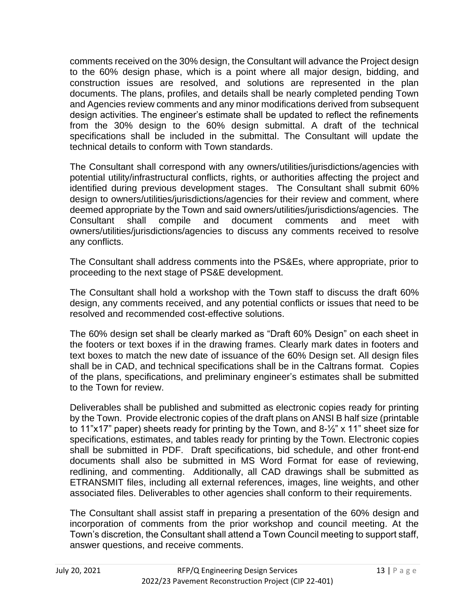comments received on the 30% design, the Consultant will advance the Project design to the 60% design phase, which is a point where all major design, bidding, and construction issues are resolved, and solutions are represented in the plan documents. The plans, profiles, and details shall be nearly completed pending Town and Agencies review comments and any minor modifications derived from subsequent design activities. The engineer's estimate shall be updated to reflect the refinements from the 30% design to the 60% design submittal. A draft of the technical specifications shall be included in the submittal. The Consultant will update the technical details to conform with Town standards.

The Consultant shall correspond with any owners/utilities/jurisdictions/agencies with potential utility/infrastructural conflicts, rights, or authorities affecting the project and identified during previous development stages. The Consultant shall submit 60% design to owners/utilities/jurisdictions/agencies for their review and comment, where deemed appropriate by the Town and said owners/utilities/jurisdictions/agencies. The Consultant shall compile and document comments and meet with owners/utilities/jurisdictions/agencies to discuss any comments received to resolve any conflicts.

The Consultant shall address comments into the PS&Es, where appropriate, prior to proceeding to the next stage of PS&E development.

The Consultant shall hold a workshop with the Town staff to discuss the draft 60% design, any comments received, and any potential conflicts or issues that need to be resolved and recommended cost-effective solutions.

The 60% design set shall be clearly marked as "Draft 60% Design" on each sheet in the footers or text boxes if in the drawing frames. Clearly mark dates in footers and text boxes to match the new date of issuance of the 60% Design set. All design files shall be in CAD, and technical specifications shall be in the Caltrans format. Copies of the plans, specifications, and preliminary engineer's estimates shall be submitted to the Town for review.

Deliverables shall be published and submitted as electronic copies ready for printing by the Town. Provide electronic copies of the draft plans on ANSI B half size (printable to 11"x17" paper) sheets ready for printing by the Town, and 8-½" x 11" sheet size for specifications, estimates, and tables ready for printing by the Town. Electronic copies shall be submitted in PDF. Draft specifications, bid schedule, and other front-end documents shall also be submitted in MS Word Format for ease of reviewing, redlining, and commenting. Additionally, all CAD drawings shall be submitted as ETRANSMIT files, including all external references, images, line weights, and other associated files. Deliverables to other agencies shall conform to their requirements.

The Consultant shall assist staff in preparing a presentation of the 60% design and incorporation of comments from the prior workshop and council meeting. At the Town's discretion, the Consultant shall attend a Town Council meeting to support staff, answer questions, and receive comments.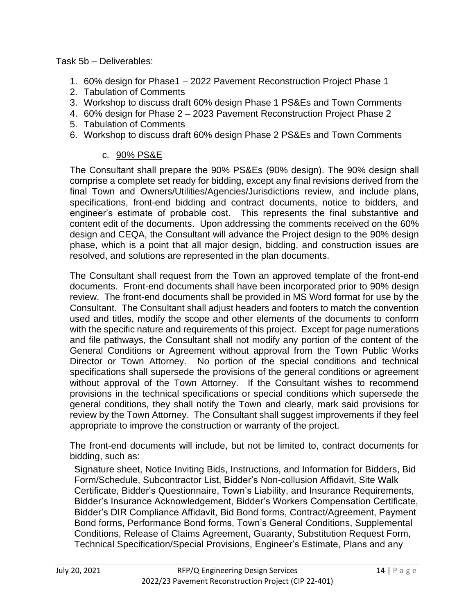Task 5b – Deliverables:

- 1. 60% design for Phase1 2022 Pavement Reconstruction Project Phase 1
- 2. Tabulation of Comments
- 3. Workshop to discuss draft 60% design Phase 1 PS&Es and Town Comments
- 4. 60% design for Phase 2 2023 Pavement Reconstruction Project Phase 2
- 5. Tabulation of Comments
- 6. Workshop to discuss draft 60% design Phase 2 PS&Es and Town Comments

### c. 90% PS&E

The Consultant shall prepare the 90% PS&Es (90% design). The 90% design shall comprise a complete set ready for bidding, except any final revisions derived from the final Town and Owners/Utilities/Agencies/Jurisdictions review, and include plans, specifications, front-end bidding and contract documents, notice to bidders, and engineer's estimate of probable cost. This represents the final substantive and content edit of the documents. Upon addressing the comments received on the 60% design and CEQA, the Consultant will advance the Project design to the 90% design phase, which is a point that all major design, bidding, and construction issues are resolved, and solutions are represented in the plan documents.

The Consultant shall request from the Town an approved template of the front-end documents. Front-end documents shall have been incorporated prior to 90% design review. The front-end documents shall be provided in MS Word format for use by the Consultant. The Consultant shall adjust headers and footers to match the convention used and titles, modify the scope and other elements of the documents to conform with the specific nature and requirements of this project. Except for page numerations and file pathways, the Consultant shall not modify any portion of the content of the General Conditions or Agreement without approval from the Town Public Works Director or Town Attorney. No portion of the special conditions and technical specifications shall supersede the provisions of the general conditions or agreement without approval of the Town Attorney. If the Consultant wishes to recommend provisions in the technical specifications or special conditions which supersede the general conditions, they shall notify the Town and clearly, mark said provisions for review by the Town Attorney. The Consultant shall suggest improvements if they feel appropriate to improve the construction or warranty of the project.

The front-end documents will include, but not be limited to, contract documents for bidding, such as:

Signature sheet, Notice Inviting Bids, Instructions, and Information for Bidders, Bid Form/Schedule, Subcontractor List, Bidder's Non-collusion Affidavit, Site Walk Certificate, Bidder's Questionnaire, Town's Liability, and Insurance Requirements, Bidder's Insurance Acknowledgement, Bidder's Workers Compensation Certificate, Bidder's DIR Compliance Affidavit, Bid Bond forms, Contract/Agreement, Payment Bond forms, Performance Bond forms, Town's General Conditions, Supplemental Conditions, Release of Claims Agreement, Guaranty, Substitution Request Form, Technical Specification/Special Provisions, Engineer's Estimate, Plans and any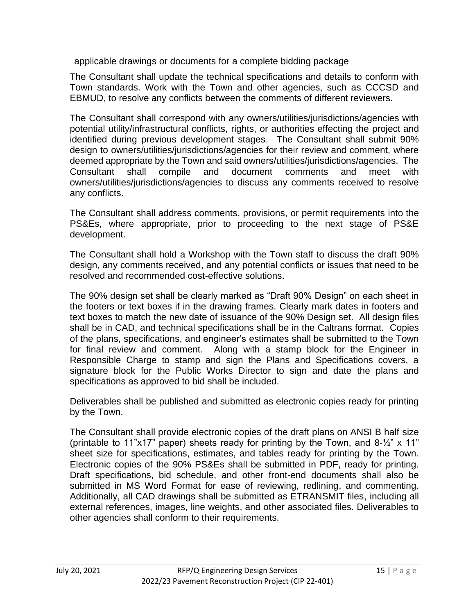applicable drawings or documents for a complete bidding package

The Consultant shall update the technical specifications and details to conform with Town standards. Work with the Town and other agencies, such as CCCSD and EBMUD, to resolve any conflicts between the comments of different reviewers.

The Consultant shall correspond with any owners/utilities/jurisdictions/agencies with potential utility/infrastructural conflicts, rights, or authorities effecting the project and identified during previous development stages. The Consultant shall submit 90% design to owners/utilities/jurisdictions/agencies for their review and comment, where deemed appropriate by the Town and said owners/utilities/jurisdictions/agencies. The Consultant shall compile and document comments and meet with owners/utilities/jurisdictions/agencies to discuss any comments received to resolve any conflicts.

The Consultant shall address comments, provisions, or permit requirements into the PS&Es, where appropriate, prior to proceeding to the next stage of PS&E development.

The Consultant shall hold a Workshop with the Town staff to discuss the draft 90% design, any comments received, and any potential conflicts or issues that need to be resolved and recommended cost-effective solutions.

The 90% design set shall be clearly marked as "Draft 90% Design" on each sheet in the footers or text boxes if in the drawing frames. Clearly mark dates in footers and text boxes to match the new date of issuance of the 90% Design set. All design files shall be in CAD, and technical specifications shall be in the Caltrans format. Copies of the plans, specifications, and engineer's estimates shall be submitted to the Town for final review and comment. Along with a stamp block for the Engineer in Responsible Charge to stamp and sign the Plans and Specifications covers, a signature block for the Public Works Director to sign and date the plans and specifications as approved to bid shall be included.

Deliverables shall be published and submitted as electronic copies ready for printing by the Town.

The Consultant shall provide electronic copies of the draft plans on ANSI B half size (printable to 11"x17" paper) sheets ready for printing by the Town, and 8-½" x 11" sheet size for specifications, estimates, and tables ready for printing by the Town. Electronic copies of the 90% PS&Es shall be submitted in PDF, ready for printing. Draft specifications, bid schedule, and other front-end documents shall also be submitted in MS Word Format for ease of reviewing, redlining, and commenting. Additionally, all CAD drawings shall be submitted as ETRANSMIT files, including all external references, images, line weights, and other associated files. Deliverables to other agencies shall conform to their requirements.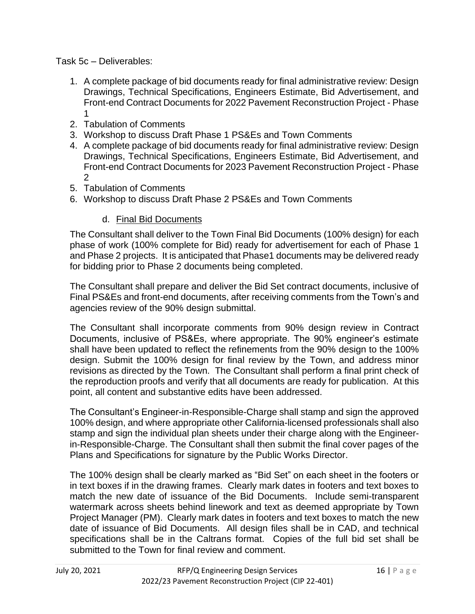Task 5c – Deliverables:

- 1. A complete package of bid documents ready for final administrative review: Design Drawings, Technical Specifications, Engineers Estimate, Bid Advertisement, and Front-end Contract Documents for 2022 Pavement Reconstruction Project - Phase 1
- 2. Tabulation of Comments
- 3. Workshop to discuss Draft Phase 1 PS&Es and Town Comments
- 4. A complete package of bid documents ready for final administrative review: Design Drawings, Technical Specifications, Engineers Estimate, Bid Advertisement, and Front-end Contract Documents for 2023 Pavement Reconstruction Project - Phase 2
- 5. Tabulation of Comments
- 6. Workshop to discuss Draft Phase 2 PS&Es and Town Comments

## d. Final Bid Documents

The Consultant shall deliver to the Town Final Bid Documents (100% design) for each phase of work (100% complete for Bid) ready for advertisement for each of Phase 1 and Phase 2 projects. It is anticipated that Phase1 documents may be delivered ready for bidding prior to Phase 2 documents being completed.

The Consultant shall prepare and deliver the Bid Set contract documents, inclusive of Final PS&Es and front-end documents, after receiving comments from the Town's and agencies review of the 90% design submittal.

The Consultant shall incorporate comments from 90% design review in Contract Documents, inclusive of PS&Es, where appropriate. The 90% engineer's estimate shall have been updated to reflect the refinements from the 90% design to the 100% design. Submit the 100% design for final review by the Town, and address minor revisions as directed by the Town. The Consultant shall perform a final print check of the reproduction proofs and verify that all documents are ready for publication. At this point, all content and substantive edits have been addressed.

The Consultant's Engineer-in-Responsible-Charge shall stamp and sign the approved 100% design, and where appropriate other California-licensed professionals shall also stamp and sign the individual plan sheets under their charge along with the Engineerin-Responsible-Charge. The Consultant shall then submit the final cover pages of the Plans and Specifications for signature by the Public Works Director.

The 100% design shall be clearly marked as "Bid Set" on each sheet in the footers or in text boxes if in the drawing frames. Clearly mark dates in footers and text boxes to match the new date of issuance of the Bid Documents. Include semi-transparent watermark across sheets behind linework and text as deemed appropriate by Town Project Manager (PM). Clearly mark dates in footers and text boxes to match the new date of issuance of Bid Documents. All design files shall be in CAD, and technical specifications shall be in the Caltrans format. Copies of the full bid set shall be submitted to the Town for final review and comment.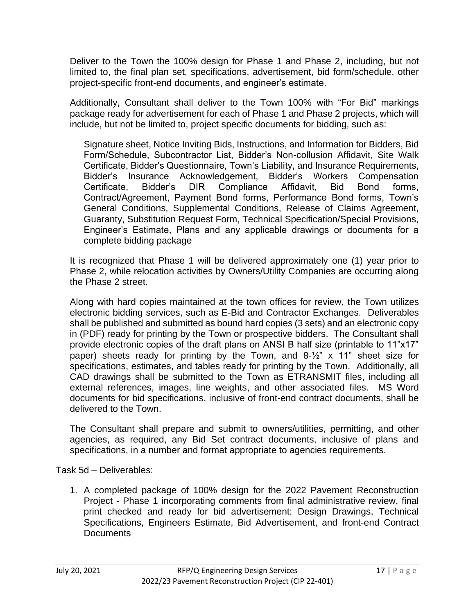Deliver to the Town the 100% design for Phase 1 and Phase 2, including, but not limited to, the final plan set, specifications, advertisement, bid form/schedule, other project-specific front-end documents, and engineer's estimate.

Additionally, Consultant shall deliver to the Town 100% with "For Bid" markings package ready for advertisement for each of Phase 1 and Phase 2 projects, which will include, but not be limited to, project specific documents for bidding, such as:

Signature sheet, Notice Inviting Bids, Instructions, and Information for Bidders, Bid Form/Schedule, Subcontractor List, Bidder's Non-collusion Affidavit, Site Walk Certificate, Bidder's Questionnaire, Town's Liability, and Insurance Requirements, Bidder's Insurance Acknowledgement, Bidder's Workers Compensation Certificate, Bidder's DIR Compliance Affidavit, Bid Bond forms, Contract/Agreement, Payment Bond forms, Performance Bond forms, Town's General Conditions, Supplemental Conditions, Release of Claims Agreement, Guaranty, Substitution Request Form, Technical Specification/Special Provisions, Engineer's Estimate, Plans and any applicable drawings or documents for a complete bidding package

It is recognized that Phase 1 will be delivered approximately one (1) year prior to Phase 2, while relocation activities by Owners/Utility Companies are occurring along the Phase 2 street.

Along with hard copies maintained at the town offices for review, the Town utilizes electronic bidding services, such as E-Bid and Contractor Exchanges. Deliverables shall be published and submitted as bound hard copies (3 sets) and an electronic copy in (PDF) ready for printing by the Town or prospective bidders. The Consultant shall provide electronic copies of the draft plans on ANSI B half size (printable to 11"x17" paper) sheets ready for printing by the Town, and  $8-\frac{1}{2}$ " x 11" sheet size for specifications, estimates, and tables ready for printing by the Town. Additionally, all CAD drawings shall be submitted to the Town as ETRANSMIT files, including all external references, images, line weights, and other associated files. MS Word documents for bid specifications, inclusive of front-end contract documents, shall be delivered to the Town.

The Consultant shall prepare and submit to owners/utilities, permitting, and other agencies, as required, any Bid Set contract documents, inclusive of plans and specifications, in a number and format appropriate to agencies requirements.

Task 5d – Deliverables:

1. A completed package of 100% design for the 2022 Pavement Reconstruction Project - Phase 1 incorporating comments from final administrative review, final print checked and ready for bid advertisement: Design Drawings, Technical Specifications, Engineers Estimate, Bid Advertisement, and front-end Contract **Documents**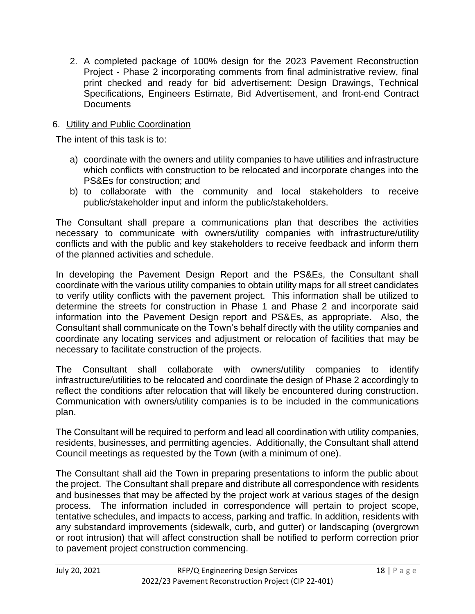2. A completed package of 100% design for the 2023 Pavement Reconstruction Project - Phase 2 incorporating comments from final administrative review, final print checked and ready for bid advertisement: Design Drawings, Technical Specifications, Engineers Estimate, Bid Advertisement, and front-end Contract **Documents** 

#### 6. Utility and Public Coordination

The intent of this task is to:

- a) coordinate with the owners and utility companies to have utilities and infrastructure which conflicts with construction to be relocated and incorporate changes into the PS&Es for construction; and
- b) to collaborate with the community and local stakeholders to receive public/stakeholder input and inform the public/stakeholders.

The Consultant shall prepare a communications plan that describes the activities necessary to communicate with owners/utility companies with infrastructure/utility conflicts and with the public and key stakeholders to receive feedback and inform them of the planned activities and schedule.

In developing the Pavement Design Report and the PS&Es, the Consultant shall coordinate with the various utility companies to obtain utility maps for all street candidates to verify utility conflicts with the pavement project. This information shall be utilized to determine the streets for construction in Phase 1 and Phase 2 and incorporate said information into the Pavement Design report and PS&Es, as appropriate. Also, the Consultant shall communicate on the Town's behalf directly with the utility companies and coordinate any locating services and adjustment or relocation of facilities that may be necessary to facilitate construction of the projects.

The Consultant shall collaborate with owners/utility companies to identify infrastructure/utilities to be relocated and coordinate the design of Phase 2 accordingly to reflect the conditions after relocation that will likely be encountered during construction. Communication with owners/utility companies is to be included in the communications plan.

The Consultant will be required to perform and lead all coordination with utility companies, residents, businesses, and permitting agencies. Additionally, the Consultant shall attend Council meetings as requested by the Town (with a minimum of one).

The Consultant shall aid the Town in preparing presentations to inform the public about the project. The Consultant shall prepare and distribute all correspondence with residents and businesses that may be affected by the project work at various stages of the design process. The information included in correspondence will pertain to project scope, tentative schedules, and impacts to access, parking and traffic. In addition, residents with any substandard improvements (sidewalk, curb, and gutter) or landscaping (overgrown or root intrusion) that will affect construction shall be notified to perform correction prior to pavement project construction commencing.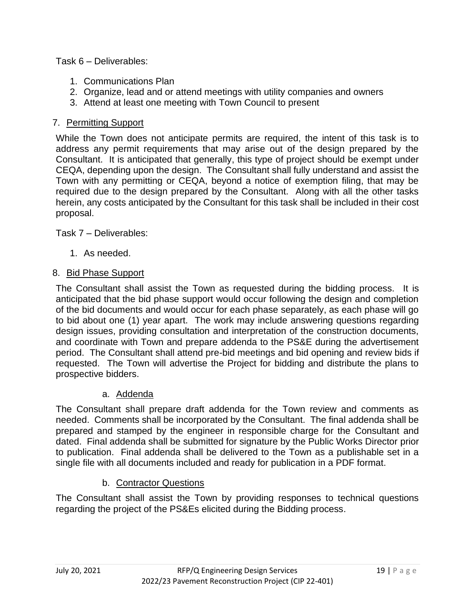#### Task 6 – Deliverables:

- 1. Communications Plan
- 2. Organize, lead and or attend meetings with utility companies and owners
- 3. Attend at least one meeting with Town Council to present

#### 7. Permitting Support

While the Town does not anticipate permits are required, the intent of this task is to address any permit requirements that may arise out of the design prepared by the Consultant. It is anticipated that generally, this type of project should be exempt under CEQA, depending upon the design. The Consultant shall fully understand and assist the Town with any permitting or CEQA, beyond a notice of exemption filing, that may be required due to the design prepared by the Consultant. Along with all the other tasks herein, any costs anticipated by the Consultant for this task shall be included in their cost proposal.

Task 7 – Deliverables:

1. As needed.

### 8. Bid Phase Support

The Consultant shall assist the Town as requested during the bidding process. It is anticipated that the bid phase support would occur following the design and completion of the bid documents and would occur for each phase separately, as each phase will go to bid about one (1) year apart. The work may include answering questions regarding design issues, providing consultation and interpretation of the construction documents, and coordinate with Town and prepare addenda to the PS&E during the advertisement period. The Consultant shall attend pre-bid meetings and bid opening and review bids if requested. The Town will advertise the Project for bidding and distribute the plans to prospective bidders.

#### a. Addenda

The Consultant shall prepare draft addenda for the Town review and comments as needed. Comments shall be incorporated by the Consultant. The final addenda shall be prepared and stamped by the engineer in responsible charge for the Consultant and dated. Final addenda shall be submitted for signature by the Public Works Director prior to publication. Final addenda shall be delivered to the Town as a publishable set in a single file with all documents included and ready for publication in a PDF format.

### b. Contractor Questions

The Consultant shall assist the Town by providing responses to technical questions regarding the project of the PS&Es elicited during the Bidding process.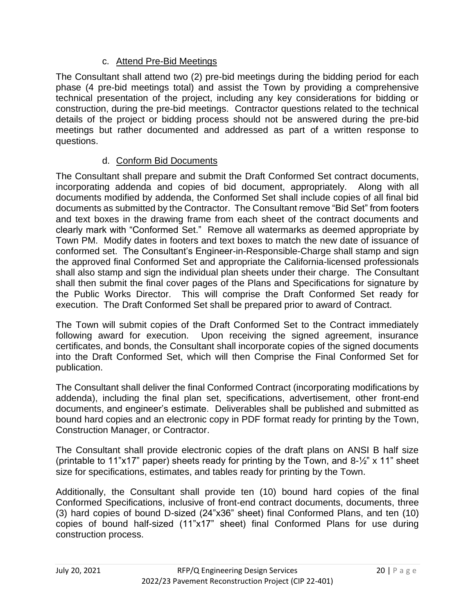### c. Attend Pre-Bid Meetings

The Consultant shall attend two (2) pre-bid meetings during the bidding period for each phase (4 pre-bid meetings total) and assist the Town by providing a comprehensive technical presentation of the project, including any key considerations for bidding or construction, during the pre-bid meetings. Contractor questions related to the technical details of the project or bidding process should not be answered during the pre-bid meetings but rather documented and addressed as part of a written response to questions.

## d. Conform Bid Documents

The Consultant shall prepare and submit the Draft Conformed Set contract documents, incorporating addenda and copies of bid document, appropriately. Along with all documents modified by addenda, the Conformed Set shall include copies of all final bid documents as submitted by the Contractor. The Consultant remove "Bid Set" from footers and text boxes in the drawing frame from each sheet of the contract documents and clearly mark with "Conformed Set." Remove all watermarks as deemed appropriate by Town PM. Modify dates in footers and text boxes to match the new date of issuance of conformed set. The Consultant's Engineer-in-Responsible-Charge shall stamp and sign the approved final Conformed Set and appropriate the California-licensed professionals shall also stamp and sign the individual plan sheets under their charge. The Consultant shall then submit the final cover pages of the Plans and Specifications for signature by the Public Works Director. This will comprise the Draft Conformed Set ready for execution. The Draft Conformed Set shall be prepared prior to award of Contract.

The Town will submit copies of the Draft Conformed Set to the Contract immediately following award for execution. Upon receiving the signed agreement, insurance certificates, and bonds, the Consultant shall incorporate copies of the signed documents into the Draft Conformed Set, which will then Comprise the Final Conformed Set for publication.

The Consultant shall deliver the final Conformed Contract (incorporating modifications by addenda), including the final plan set, specifications, advertisement, other front-end documents, and engineer's estimate. Deliverables shall be published and submitted as bound hard copies and an electronic copy in PDF format ready for printing by the Town, Construction Manager, or Contractor.

The Consultant shall provide electronic copies of the draft plans on ANSI B half size (printable to 11"x17" paper) sheets ready for printing by the Town, and  $8-\frac{1}{2}$ " x 11" sheet size for specifications, estimates, and tables ready for printing by the Town.

Additionally, the Consultant shall provide ten (10) bound hard copies of the final Conformed Specifications, inclusive of front-end contract documents, documents, three (3) hard copies of bound D-sized (24"x36" sheet) final Conformed Plans, and ten (10) copies of bound half-sized (11"x17" sheet) final Conformed Plans for use during construction process.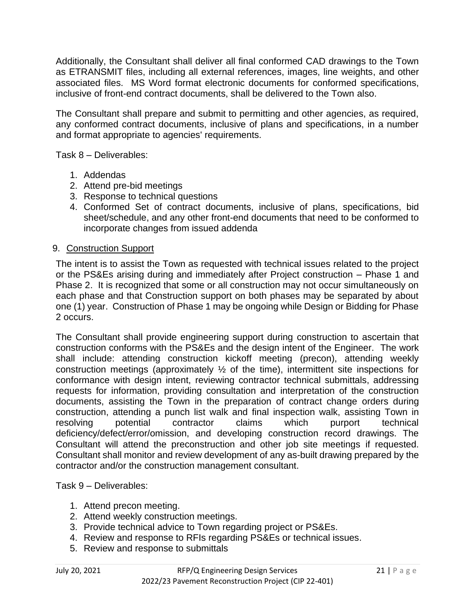Additionally, the Consultant shall deliver all final conformed CAD drawings to the Town as ETRANSMIT files, including all external references, images, line weights, and other associated files. MS Word format electronic documents for conformed specifications, inclusive of front-end contract documents, shall be delivered to the Town also.

The Consultant shall prepare and submit to permitting and other agencies, as required, any conformed contract documents, inclusive of plans and specifications, in a number and format appropriate to agencies' requirements.

Task 8 – Deliverables:

- 1. Addendas
- 2. Attend pre-bid meetings
- 3. Response to technical questions
- 4. Conformed Set of contract documents, inclusive of plans, specifications, bid sheet/schedule, and any other front-end documents that need to be conformed to incorporate changes from issued addenda

#### 9. Construction Support

The intent is to assist the Town as requested with technical issues related to the project or the PS&Es arising during and immediately after Project construction – Phase 1 and Phase 2. It is recognized that some or all construction may not occur simultaneously on each phase and that Construction support on both phases may be separated by about one (1) year. Construction of Phase 1 may be ongoing while Design or Bidding for Phase 2 occurs.

The Consultant shall provide engineering support during construction to ascertain that construction conforms with the PS&Es and the design intent of the Engineer. The work shall include: attending construction kickoff meeting (precon), attending weekly construction meetings (approximately ½ of the time), intermittent site inspections for conformance with design intent, reviewing contractor technical submittals, addressing requests for information, providing consultation and interpretation of the construction documents, assisting the Town in the preparation of contract change orders during construction, attending a punch list walk and final inspection walk, assisting Town in resolving potential contractor claims which purport technical deficiency/defect/error/omission, and developing construction record drawings. The Consultant will attend the preconstruction and other job site meetings if requested. Consultant shall monitor and review development of any as-built drawing prepared by the contractor and/or the construction management consultant.

Task 9 – Deliverables:

- 1. Attend precon meeting.
- 2. Attend weekly construction meetings.
- 3. Provide technical advice to Town regarding project or PS&Es.
- 4. Review and response to RFIs regarding PS&Es or technical issues.
- 5. Review and response to submittals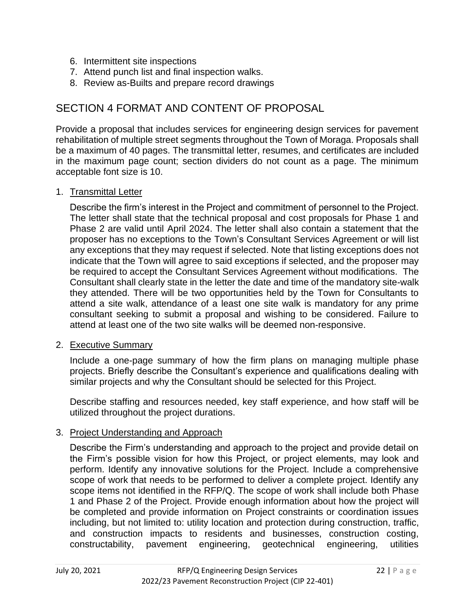- 6. Intermittent site inspections
- 7. Attend punch list and final inspection walks.
- 8. Review as-Builts and prepare record drawings

## <span id="page-23-0"></span>SECTION 4 FORMAT AND CONTENT OF PROPOSAL

Provide a proposal that includes services for engineering design services for pavement rehabilitation of multiple street segments throughout the Town of Moraga. Proposals shall be a maximum of 40 pages. The transmittal letter, resumes, and certificates are included in the maximum page count; section dividers do not count as a page. The minimum acceptable font size is 10.

#### 1. Transmittal Letter

Describe the firm's interest in the Project and commitment of personnel to the Project. The letter shall state that the technical proposal and cost proposals for Phase 1 and Phase 2 are valid until April 2024. The letter shall also contain a statement that the proposer has no exceptions to the Town's Consultant Services Agreement or will list any exceptions that they may request if selected. Note that listing exceptions does not indicate that the Town will agree to said exceptions if selected, and the proposer may be required to accept the Consultant Services Agreement without modifications. The Consultant shall clearly state in the letter the date and time of the mandatory site-walk they attended. There will be two opportunities held by the Town for Consultants to attend a site walk, attendance of a least one site walk is mandatory for any prime consultant seeking to submit a proposal and wishing to be considered. Failure to attend at least one of the two site walks will be deemed non-responsive.

#### 2. Executive Summary

Include a one-page summary of how the firm plans on managing multiple phase projects. Briefly describe the Consultant's experience and qualifications dealing with similar projects and why the Consultant should be selected for this Project.

Describe staffing and resources needed, key staff experience, and how staff will be utilized throughout the project durations.

#### 3. Project Understanding and Approach

Describe the Firm's understanding and approach to the project and provide detail on the Firm's possible vision for how this Project, or project elements, may look and perform. Identify any innovative solutions for the Project. Include a comprehensive scope of work that needs to be performed to deliver a complete project. Identify any scope items not identified in the RFP/Q. The scope of work shall include both Phase 1 and Phase 2 of the Project. Provide enough information about how the project will be completed and provide information on Project constraints or coordination issues including, but not limited to: utility location and protection during construction, traffic, and construction impacts to residents and businesses, construction costing, constructability, pavement engineering, geotechnical engineering, utilities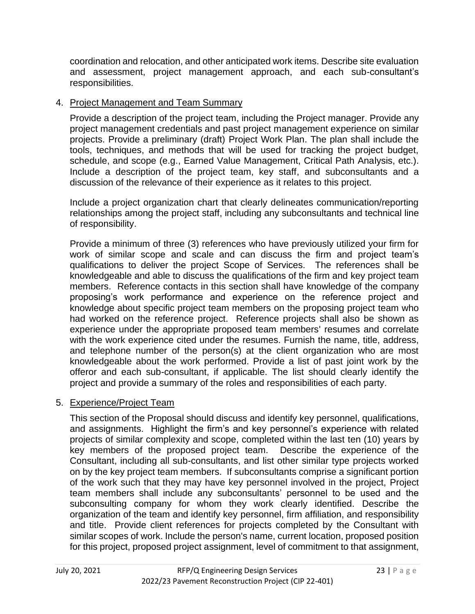coordination and relocation, and other anticipated work items. Describe site evaluation and assessment, project management approach, and each sub-consultant's responsibilities.

#### 4. Project Management and Team Summary

Provide a description of the project team, including the Project manager. Provide any project management credentials and past project management experience on similar projects. Provide a preliminary (draft) Project Work Plan. The plan shall include the tools, techniques, and methods that will be used for tracking the project budget, schedule, and scope (e.g., Earned Value Management, Critical Path Analysis, etc.). Include a description of the project team, key staff, and subconsultants and a discussion of the relevance of their experience as it relates to this project.

Include a project organization chart that clearly delineates communication/reporting relationships among the project staff, including any subconsultants and technical line of responsibility.

Provide a minimum of three (3) references who have previously utilized your firm for work of similar scope and scale and can discuss the firm and project team's qualifications to deliver the project Scope of Services. The references shall be knowledgeable and able to discuss the qualifications of the firm and key project team members. Reference contacts in this section shall have knowledge of the company proposing's work performance and experience on the reference project and knowledge about specific project team members on the proposing project team who had worked on the reference project. Reference projects shall also be shown as experience under the appropriate proposed team members' resumes and correlate with the work experience cited under the resumes. Furnish the name, title, address, and telephone number of the person(s) at the client organization who are most knowledgeable about the work performed. Provide a list of past joint work by the offeror and each sub-consultant, if applicable. The list should clearly identify the project and provide a summary of the roles and responsibilities of each party.

### 5. Experience/Project Team

This section of the Proposal should discuss and identify key personnel, qualifications, and assignments. Highlight the firm's and key personnel's experience with related projects of similar complexity and scope, completed within the last ten (10) years by key members of the proposed project team. Describe the experience of the Consultant, including all sub-consultants, and list other similar type projects worked on by the key project team members. If subconsultants comprise a significant portion of the work such that they may have key personnel involved in the project, Project team members shall include any subconsultants' personnel to be used and the subconsulting company for whom they work clearly identified. Describe the organization of the team and identify key personnel, firm affiliation, and responsibility and title. Provide client references for projects completed by the Consultant with similar scopes of work. Include the person's name, current location, proposed position for this project, proposed project assignment, level of commitment to that assignment,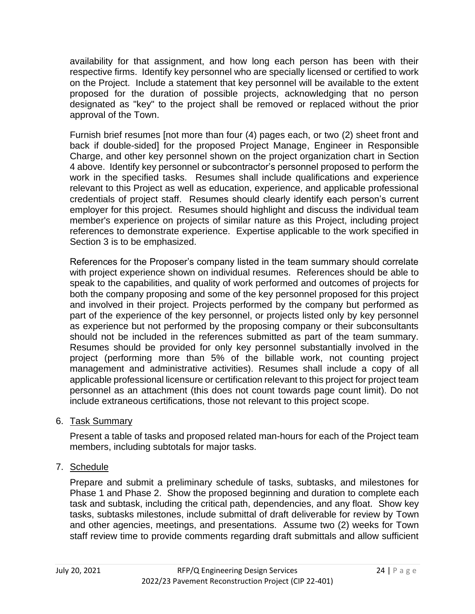availability for that assignment, and how long each person has been with their respective firms. Identify key personnel who are specially licensed or certified to work on the Project. Include a statement that key personnel will be available to the extent proposed for the duration of possible projects, acknowledging that no person designated as "key" to the project shall be removed or replaced without the prior approval of the Town.

Furnish brief resumes [not more than four (4) pages each, or two (2) sheet front and back if double-sided] for the proposed Project Manage, Engineer in Responsible Charge, and other key personnel shown on the project organization chart in Section 4 above. Identify key personnel or subcontractor's personnel proposed to perform the work in the specified tasks. Resumes shall include qualifications and experience relevant to this Project as well as education, experience, and applicable professional credentials of project staff. Resumes should clearly identify each person's current employer for this project. Resumes should highlight and discuss the individual team member's experience on projects of similar nature as this Project, including project references to demonstrate experience. Expertise applicable to the work specified in Section 3 is to be emphasized.

References for the Proposer's company listed in the team summary should correlate with project experience shown on individual resumes. References should be able to speak to the capabilities, and quality of work performed and outcomes of projects for both the company proposing and some of the key personnel proposed for this project and involved in their project. Projects performed by the company but performed as part of the experience of the key personnel, or projects listed only by key personnel as experience but not performed by the proposing company or their subconsultants should not be included in the references submitted as part of the team summary. Resumes should be provided for only key personnel substantially involved in the project (performing more than 5% of the billable work, not counting project management and administrative activities). Resumes shall include a copy of all applicable professional licensure or certification relevant to this project for project team personnel as an attachment (this does not count towards page count limit). Do not include extraneous certifications, those not relevant to this project scope.

6. Task Summary

Present a table of tasks and proposed related man-hours for each of the Project team members, including subtotals for major tasks.

7. Schedule

Prepare and submit a preliminary schedule of tasks, subtasks, and milestones for Phase 1 and Phase 2. Show the proposed beginning and duration to complete each task and subtask, including the critical path, dependencies, and any float. Show key tasks, subtasks milestones, include submittal of draft deliverable for review by Town and other agencies, meetings, and presentations. Assume two (2) weeks for Town staff review time to provide comments regarding draft submittals and allow sufficient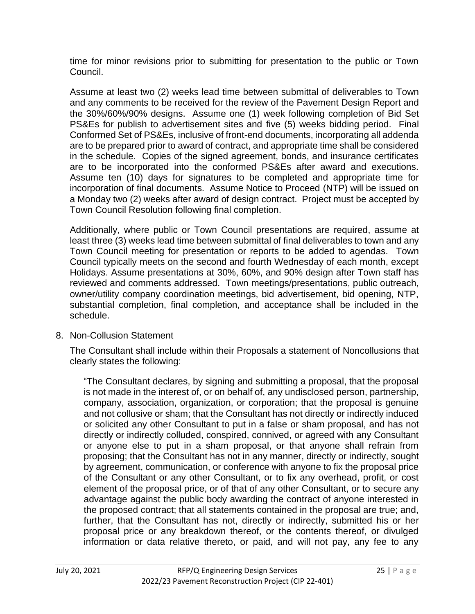time for minor revisions prior to submitting for presentation to the public or Town Council.

Assume at least two (2) weeks lead time between submittal of deliverables to Town and any comments to be received for the review of the Pavement Design Report and the 30%/60%/90% designs. Assume one (1) week following completion of Bid Set PS&Es for publish to advertisement sites and five (5) weeks bidding period. Final Conformed Set of PS&Es, inclusive of front-end documents, incorporating all addenda are to be prepared prior to award of contract, and appropriate time shall be considered in the schedule. Copies of the signed agreement, bonds, and insurance certificates are to be incorporated into the conformed PS&Es after award and executions. Assume ten (10) days for signatures to be completed and appropriate time for incorporation of final documents. Assume Notice to Proceed (NTP) will be issued on a Monday two (2) weeks after award of design contract. Project must be accepted by Town Council Resolution following final completion.

Additionally, where public or Town Council presentations are required, assume at least three (3) weeks lead time between submittal of final deliverables to town and any Town Council meeting for presentation or reports to be added to agendas. Town Council typically meets on the second and fourth Wednesday of each month, except Holidays. Assume presentations at 30%, 60%, and 90% design after Town staff has reviewed and comments addressed. Town meetings/presentations, public outreach, owner/utility company coordination meetings, bid advertisement, bid opening, NTP, substantial completion, final completion, and acceptance shall be included in the schedule.

#### 8. Non-Collusion Statement

The Consultant shall include within their Proposals a statement of Noncollusions that clearly states the following:

"The Consultant declares, by signing and submitting a proposal, that the proposal is not made in the interest of, or on behalf of, any undisclosed person, partnership, company, association, organization, or corporation; that the proposal is genuine and not collusive or sham; that the Consultant has not directly or indirectly induced or solicited any other Consultant to put in a false or sham proposal, and has not directly or indirectly colluded, conspired, connived, or agreed with any Consultant or anyone else to put in a sham proposal, or that anyone shall refrain from proposing; that the Consultant has not in any manner, directly or indirectly, sought by agreement, communication, or conference with anyone to fix the proposal price of the Consultant or any other Consultant, or to fix any overhead, profit, or cost element of the proposal price, or of that of any other Consultant, or to secure any advantage against the public body awarding the contract of anyone interested in the proposed contract; that all statements contained in the proposal are true; and, further, that the Consultant has not, directly or indirectly, submitted his or her proposal price or any breakdown thereof, or the contents thereof, or divulged information or data relative thereto, or paid, and will not pay, any fee to any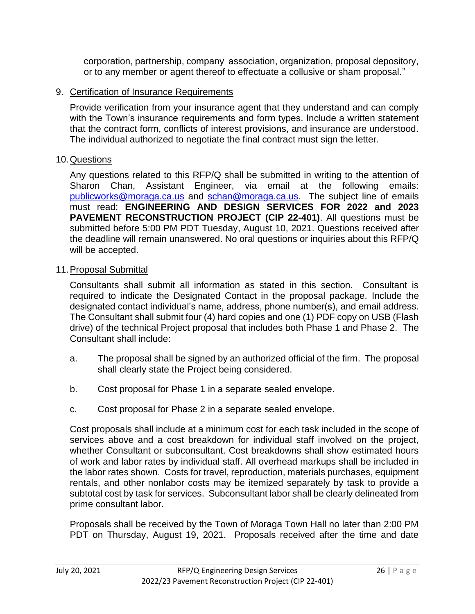corporation, partnership, company association, organization, proposal depository, or to any member or agent thereof to effectuate a collusive or sham proposal."

#### 9. Certification of Insurance Requirements

Provide verification from your insurance agent that they understand and can comply with the Town's insurance requirements and form types. Include a written statement that the contract form, conflicts of interest provisions, and insurance are understood. The individual authorized to negotiate the final contract must sign the letter.

#### 10.Questions

Any questions related to this RFP/Q shall be submitted in writing to the attention of Sharon Chan, Assistant Engineer, via email at the following emails: [publicworks@moraga.ca.us](mailto:publicworks@moraga.ca.us) and [schan@moraga.ca.us.](mailto:schan@moraga.ca.us) The subject line of emails must read: **ENGINEERING AND DESIGN SERVICES FOR 2022 and 2023 PAVEMENT RECONSTRUCTION PROJECT (CIP 22-401)**. All questions must be submitted before 5:00 PM PDT Tuesday, August 10, 2021. Questions received after the deadline will remain unanswered. No oral questions or inquiries about this RFP/Q will be accepted.

### 11.Proposal Submittal

Consultants shall submit all information as stated in this section. Consultant is required to indicate the Designated Contact in the proposal package. Include the designated contact individual's name, address, phone number(s), and email address. The Consultant shall submit four (4) hard copies and one (1) PDF copy on USB (Flash drive) of the technical Project proposal that includes both Phase 1 and Phase 2. The Consultant shall include:

- a. The proposal shall be signed by an authorized official of the firm. The proposal shall clearly state the Project being considered.
- b. Cost proposal for Phase 1 in a separate sealed envelope.
- c. Cost proposal for Phase 2 in a separate sealed envelope.

Cost proposals shall include at a minimum cost for each task included in the scope of services above and a cost breakdown for individual staff involved on the project, whether Consultant or subconsultant. Cost breakdowns shall show estimated hours of work and labor rates by individual staff. All overhead markups shall be included in the labor rates shown. Costs for travel, reproduction, materials purchases, equipment rentals, and other nonlabor costs may be itemized separately by task to provide a subtotal cost by task for services. Subconsultant labor shall be clearly delineated from prime consultant labor.

Proposals shall be received by the Town of Moraga Town Hall no later than 2:00 PM PDT on Thursday, August 19, 2021. Proposals received after the time and date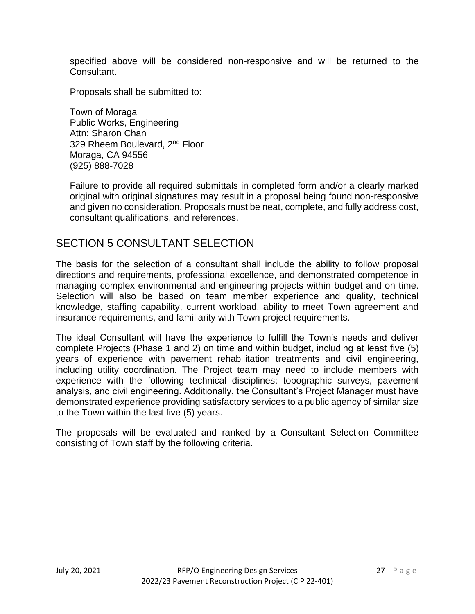specified above will be considered non-responsive and will be returned to the Consultant.

Proposals shall be submitted to:

Town of Moraga Public Works, Engineering Attn: Sharon Chan 329 Rheem Boulevard, 2<sup>nd</sup> Floor Moraga, CA 94556 (925) 888-7028

Failure to provide all required submittals in completed form and/or a clearly marked original with original signatures may result in a proposal being found non-responsive and given no consideration. Proposals must be neat, complete, and fully address cost, consultant qualifications, and references.

## <span id="page-28-0"></span>SECTION 5 CONSULTANT SELECTION

The basis for the selection of a consultant shall include the ability to follow proposal directions and requirements, professional excellence, and demonstrated competence in managing complex environmental and engineering projects within budget and on time. Selection will also be based on team member experience and quality, technical knowledge, staffing capability, current workload, ability to meet Town agreement and insurance requirements, and familiarity with Town project requirements.

The ideal Consultant will have the experience to fulfill the Town's needs and deliver complete Projects (Phase 1 and 2) on time and within budget, including at least five (5) years of experience with pavement rehabilitation treatments and civil engineering, including utility coordination. The Project team may need to include members with experience with the following technical disciplines: topographic surveys, pavement analysis, and civil engineering. Additionally, the Consultant's Project Manager must have demonstrated experience providing satisfactory services to a public agency of similar size to the Town within the last five (5) years.

The proposals will be evaluated and ranked by a Consultant Selection Committee consisting of Town staff by the following criteria.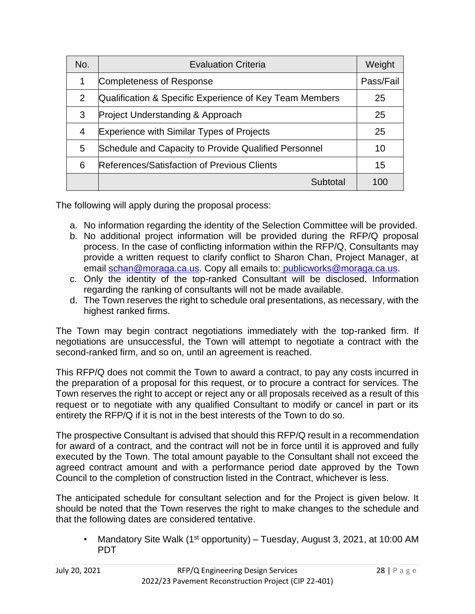| No.            | <b>Evaluation Criteria</b>                              | Weight    |
|----------------|---------------------------------------------------------|-----------|
| 1              | <b>Completeness of Response</b>                         | Pass/Fail |
| $\overline{2}$ | Qualification & Specific Experience of Key Team Members | 25        |
| 3              | <b>Project Understanding &amp; Approach</b>             | 25        |
| 4              | <b>Experience with Similar Types of Projects</b>        | 25        |
| 5              | Schedule and Capacity to Provide Qualified Personnel    | 10        |
| 6              | References/Satisfaction of Previous Clients             | 15        |
|                | Subtotal                                                | 100       |

The following will apply during the proposal process:

- a. No information regarding the identity of the Selection Committee will be provided.
- b. No additional project information will be provided during the RFP/Q proposal process. In the case of conflicting information within the RFP/Q, Consultants may provide a written request to clarify conflict to Sharon Chan, Project Manager, at email [schan@moraga.ca.us.](mailto:sknapp@moraga.ca.us) Copy all emails to: [publicworks@moraga.ca.us.](mailto:%20publicworks@moraga.ca.us)
- c. Only the identity of the top-ranked Consultant will be disclosed. Information regarding the ranking of consultants will not be made available.
- d. The Town reserves the right to schedule oral presentations, as necessary, with the highest ranked firms.

The Town may begin contract negotiations immediately with the top-ranked firm. If negotiations are unsuccessful, the Town will attempt to negotiate a contract with the second-ranked firm, and so on, until an agreement is reached.

This RFP/Q does not commit the Town to award a contract, to pay any costs incurred in the preparation of a proposal for this request, or to procure a contract for services. The Town reserves the right to accept or reject any or all proposals received as a result of this request or to negotiate with any qualified Consultant to modify or cancel in part or its entirety the RFP/Q if it is not in the best interests of the Town to do so.

The prospective Consultant is advised that should this RFP/Q result in a recommendation for award of a contract, and the contract will not be in force until it is approved and fully executed by the Town. The total amount payable to the Consultant shall not exceed the agreed contract amount and with a performance period date approved by the Town Council to the completion of construction listed in the Contract, whichever is less.

The anticipated schedule for consultant selection and for the Project is given below. It should be noted that the Town reserves the right to make changes to the schedule and that the following dates are considered tentative.

• Mandatory Site Walk (1<sup>st</sup> opportunity) – Tuesday, August 3, 2021, at 10:00 AM PDT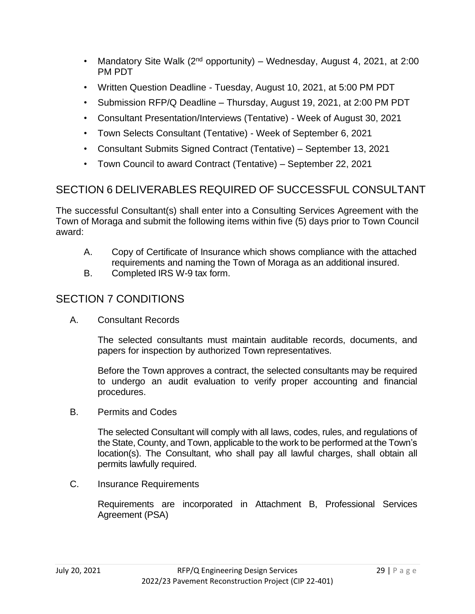- Mandatory Site Walk (2<sup>nd</sup> opportunity) Wednesday, August 4, 2021, at 2:00 PM PDT
- Written Question Deadline Tuesday, August 10, 2021, at 5:00 PM PDT
- Submission RFP/Q Deadline Thursday, August 19, 2021, at 2:00 PM PDT
- Consultant Presentation/Interviews (Tentative) Week of August 30, 2021
- Town Selects Consultant (Tentative) Week of September 6, 2021
- Consultant Submits Signed Contract (Tentative) September 13, 2021
- Town Council to award Contract (Tentative) September 22, 2021

## <span id="page-30-0"></span>SECTION 6 DELIVERABLES REQUIRED OF SUCCESSFUL CONSULTANT

The successful Consultant(s) shall enter into a Consulting Services Agreement with the Town of Moraga and submit the following items within five (5) days prior to Town Council award:

- A. Copy of Certificate of Insurance which shows compliance with the attached requirements and naming the Town of Moraga as an additional insured.
- B. Completed IRS W-9 tax form.

## <span id="page-30-1"></span>SECTION 7 CONDITIONS

A. Consultant Records

The selected consultants must maintain auditable records, documents, and papers for inspection by authorized Town representatives.

Before the Town approves a contract, the selected consultants may be required to undergo an audit evaluation to verify proper accounting and financial procedures.

B. Permits and Codes

The selected Consultant will comply with all laws, codes, rules, and regulations of the State, County, and Town, applicable to the work to be performed at the Town's location(s). The Consultant, who shall pay all lawful charges, shall obtain all permits lawfully required.

C. Insurance Requirements

Requirements are incorporated in Attachment B, Professional Services Agreement (PSA)